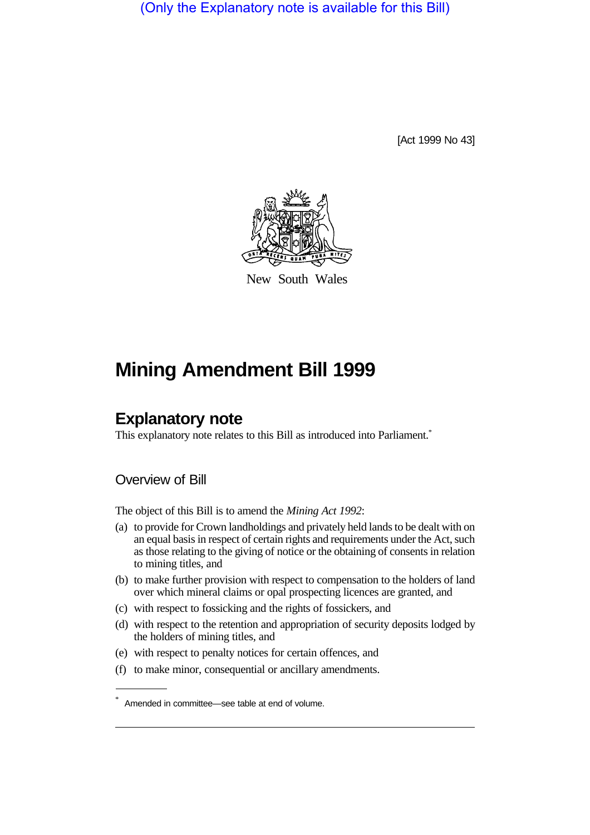(Only the Explanatory note is available for this Bill)

[Act 1999 No 43]



New South Wales

# **Mining Amendment Bill 1999**

# **Explanatory note**

This explanatory note relates to this Bill as introduced into Parliament.<sup>\*</sup>

# Overview of Bill

The object of this Bill is to amend the *Mining Act 1992*:

- (a) to provide for Crown landholdings and privately held lands to be dealt with on an equal basis in respect of certain rights and requirements under the Act, such as those relating to the giving of notice or the obtaining of consents in relation to mining titles, and
- (b) to make further provision with respect to compensation to the holders of land over which mineral claims or opal prospecting licences are granted, and
- (c) with respect to fossicking and the rights of fossickers, and
- (d) with respect to the retention and appropriation of security deposits lodged by the holders of mining titles, and
- (e) with respect to penalty notices for certain offences, and
- (f) to make minor, consequential or ancillary amendments.

<sup>\*</sup> Amended in committee—see table at end of volume.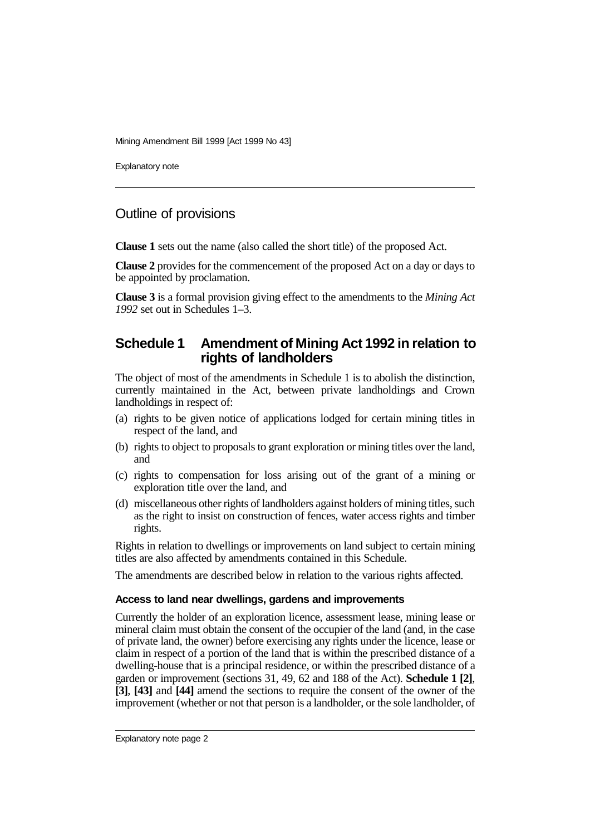Explanatory note

# Outline of provisions

**Clause 1** sets out the name (also called the short title) of the proposed Act.

**Clause 2** provides for the commencement of the proposed Act on a day or days to be appointed by proclamation.

**Clause 3** is a formal provision giving effect to the amendments to the *Mining Act 1992* set out in Schedules 1–3.

# **Schedule 1 Amendment of Mining Act 1992 in relation to rights of landholders**

The object of most of the amendments in Schedule 1 is to abolish the distinction, currently maintained in the Act, between private landholdings and Crown landholdings in respect of:

- (a) rights to be given notice of applications lodged for certain mining titles in respect of the land, and
- (b) rights to object to proposals to grant exploration or mining titles over the land, and
- (c) rights to compensation for loss arising out of the grant of a mining or exploration title over the land, and
- (d) miscellaneous other rights of landholders against holders of mining titles, such as the right to insist on construction of fences, water access rights and timber rights.

Rights in relation to dwellings or improvements on land subject to certain mining titles are also affected by amendments contained in this Schedule.

The amendments are described below in relation to the various rights affected.

# **Access to land near dwellings, gardens and improvements**

Currently the holder of an exploration licence, assessment lease, mining lease or mineral claim must obtain the consent of the occupier of the land (and, in the case of private land, the owner) before exercising any rights under the licence, lease or claim in respect of a portion of the land that is within the prescribed distance of a dwelling-house that is a principal residence, or within the prescribed distance of a garden or improvement (sections 31, 49, 62 and 188 of the Act). **Schedule 1 [2]**, **[3]**, **[43]** and **[44]** amend the sections to require the consent of the owner of the improvement (whether or not that person is a landholder, or the sole landholder, of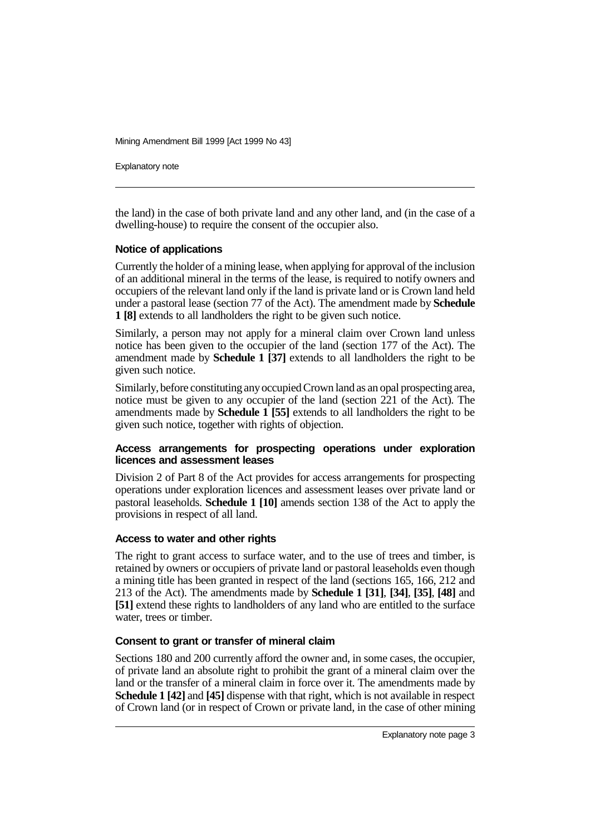Explanatory note

the land) in the case of both private land and any other land, and (in the case of a dwelling-house) to require the consent of the occupier also.

### **Notice of applications**

Currently the holder of a mining lease, when applying for approval of the inclusion of an additional mineral in the terms of the lease, is required to notify owners and occupiers of the relevant land only if the land is private land or is Crown land held under a pastoral lease (section 77 of the Act). The amendment made by **Schedule 1 [8]** extends to all landholders the right to be given such notice.

Similarly, a person may not apply for a mineral claim over Crown land unless notice has been given to the occupier of the land (section 177 of the Act). The amendment made by **Schedule 1 [37]** extends to all landholders the right to be given such notice.

Similarly, before constituting any occupied Crown land as an opal prospecting area, notice must be given to any occupier of the land (section 221 of the Act). The amendments made by **Schedule 1 [55]** extends to all landholders the right to be given such notice, together with rights of objection.

### **Access arrangements for prospecting operations under exploration licences and assessment leases**

Division 2 of Part 8 of the Act provides for access arrangements for prospecting operations under exploration licences and assessment leases over private land or pastoral leaseholds. **Schedule 1 [10]** amends section 138 of the Act to apply the provisions in respect of all land.

#### **Access to water and other rights**

The right to grant access to surface water, and to the use of trees and timber, is retained by owners or occupiers of private land or pastoral leaseholds even though a mining title has been granted in respect of the land (sections 165, 166, 212 and 213 of the Act). The amendments made by **Schedule 1 [31]**, **[34]**, **[35]**, **[48]** and **[51]** extend these rights to landholders of any land who are entitled to the surface water, trees or timber.

# **Consent to grant or transfer of mineral claim**

Sections 180 and 200 currently afford the owner and, in some cases, the occupier, of private land an absolute right to prohibit the grant of a mineral claim over the land or the transfer of a mineral claim in force over it. The amendments made by **Schedule 1 [42]** and **[45]** dispense with that right, which is not available in respect of Crown land (or in respect of Crown or private land, in the case of other mining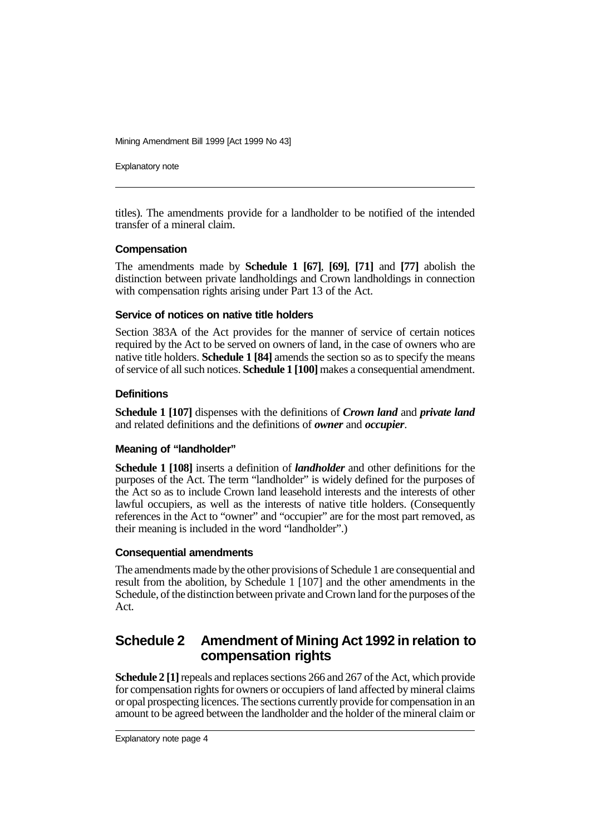Explanatory note

titles). The amendments provide for a landholder to be notified of the intended transfer of a mineral claim.

#### **Compensation**

The amendments made by **Schedule 1 [67]**, **[69]**, **[71]** and **[77]** abolish the distinction between private landholdings and Crown landholdings in connection with compensation rights arising under Part 13 of the Act.

### **Service of notices on native title holders**

Section 383A of the Act provides for the manner of service of certain notices required by the Act to be served on owners of land, in the case of owners who are native title holders. **Schedule 1 [84]** amends the section so as to specify the means of service of all such notices. **Schedule 1 [100]** makes a consequential amendment.

### **Definitions**

**Schedule 1 [107]** dispenses with the definitions of *Crown land* and *private land* and related definitions and the definitions of *owner* and *occupier*.

# **Meaning of "landholder"**

**Schedule 1 [108]** inserts a definition of *landholder* and other definitions for the purposes of the Act. The term "landholder" is widely defined for the purposes of the Act so as to include Crown land leasehold interests and the interests of other lawful occupiers, as well as the interests of native title holders. (Consequently references in the Act to "owner" and "occupier" are for the most part removed, as their meaning is included in the word "landholder".)

#### **Consequential amendments**

The amendments made by the other provisions of Schedule 1 are consequential and result from the abolition, by Schedule 1 [107] and the other amendments in the Schedule, of the distinction between private and Crown land for the purposes of the Act.

# **Schedule 2 Amendment of Mining Act 1992 in relation to compensation rights**

**Schedule 2 [1]** repeals and replaces sections 266 and 267 of the Act, which provide for compensation rights for owners or occupiers of land affected by mineral claims or opal prospecting licences. The sections currently provide for compensation in an amount to be agreed between the landholder and the holder of the mineral claim or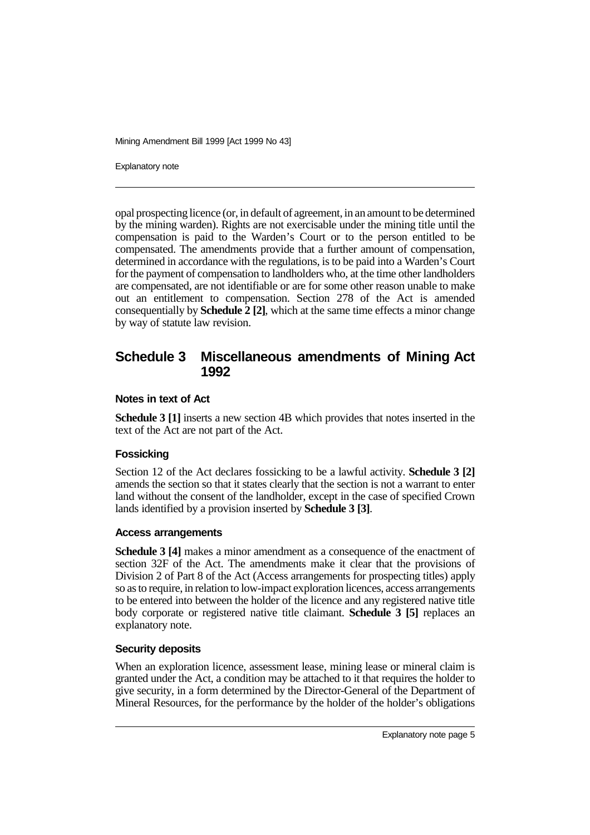Explanatory note

opal prospecting licence (or, in default of agreement, in an amount to be determined by the mining warden). Rights are not exercisable under the mining title until the compensation is paid to the Warden's Court or to the person entitled to be compensated. The amendments provide that a further amount of compensation, determined in accordance with the regulations, is to be paid into a Warden's Court for the payment of compensation to landholders who, at the time other landholders are compensated, are not identifiable or are for some other reason unable to make out an entitlement to compensation. Section 278 of the Act is amended consequentially by **Schedule 2 [2]**, which at the same time effects a minor change by way of statute law revision.

# **Schedule 3 Miscellaneous amendments of Mining Act 1992**

### **Notes in text of Act**

**Schedule 3 [1]** inserts a new section 4B which provides that notes inserted in the text of the Act are not part of the Act.

# **Fossicking**

Section 12 of the Act declares fossicking to be a lawful activity. **Schedule 3 [2]** amends the section so that it states clearly that the section is not a warrant to enter land without the consent of the landholder, except in the case of specified Crown lands identified by a provision inserted by **Schedule 3 [3]**.

# **Access arrangements**

**Schedule 3 [4]** makes a minor amendment as a consequence of the enactment of section 32F of the Act. The amendments make it clear that the provisions of Division 2 of Part 8 of the Act (Access arrangements for prospecting titles) apply so as to require, in relation to low-impact exploration licences, access arrangements to be entered into between the holder of the licence and any registered native title body corporate or registered native title claimant. **Schedule 3 [5]** replaces an explanatory note.

# **Security deposits**

When an exploration licence, assessment lease, mining lease or mineral claim is granted under the Act, a condition may be attached to it that requires the holder to give security, in a form determined by the Director-General of the Department of Mineral Resources, for the performance by the holder of the holder's obligations